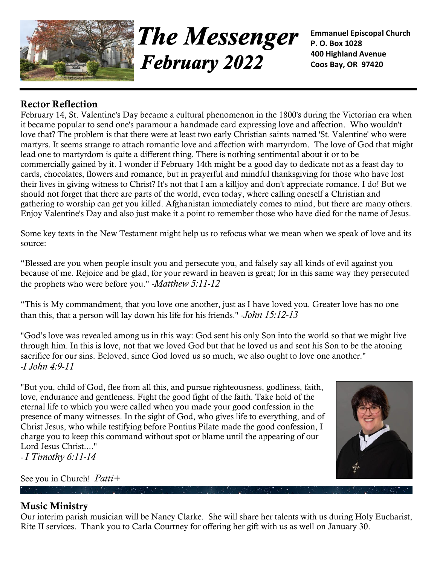

**The Messenger February 2022** 

**Emmanuel Episcopal Church P. O. Box 1028 400 Highland Avenue Coos Bay, OR 97420**

## **Rector Reflection**

February 14, St. Valentine's Day became a cultural phenomenon in the 1800's during the Victorian era when it became popular to send one's paramour a handmade card expressing love and affection. Who wouldn't love that? The problem is that there were at least two early Christian saints named 'St. Valentine' who were martyrs. It seems strange to attach romantic love and affection with martyrdom. The love of God that might lead one to martyrdom is quite a different thing. There is nothing sentimental about it or to be commercially gained by it. I wonder if February 14th might be a good day to dedicate not as a feast day to cards, chocolates, flowers and romance, but in prayerful and mindful thanksgiving for those who have lost their lives in giving witness to Christ? It's not that I am a killjoy and don't appreciate romance. I do! But we should not forget that there are parts of the world, even today, where calling oneself a Christian and gathering to worship can get you killed. Afghanistan immediately comes to mind, but there are many others. Enjoy Valentine's Day and also just make it a point to remember those who have died for the name of Jesus.

Some key texts in the New Testament might help us to refocus what we mean when we speak of love and its source:

"Blessed are you when people insult you and persecute you, and falsely say all kinds of evil against you because of me. Rejoice and be glad, for your reward in heaven is great; for in this same way they persecuted the prophets who were before you." -*Matthew 5:11-12*

"This is My commandment, that you love one another, just as I have loved you. Greater love has no one than this, that a person will lay down his life for his friends." -*John 15:12-13*

"God's love was revealed among us in this way: God sent his only Son into the world so that we might live through him. In this is love, not that we loved God but that he loved us and sent his Son to be the atoning sacrifice for our sins. Beloved, since God loved us so much, we also ought to love one another." *-I John 4:9-11*

"But you, child of God, flee from all this, and pursue righteousness, godliness, faith, love, endurance and gentleness. Fight the good fight of the faith. Take hold of the eternal life to which you were called when you made your good confession in the presence of many witnesses. In the sight of God, who gives life to everything, and of Christ Jesus, who while testifying before Pontius Pilate made the good confession, I charge you to keep this command without spot or blame until the appearing of our Lord Jesus Christ...."

*- I Timothy 6:11-14*

See you in Church! *Patti+*



## **Music Ministry**

Our interim parish musician will be Nancy Clarke. She will share her talents with us during Holy Eucharist, Rite II services. Thank you to Carla Courtney for offering her gift with us as well on January 30.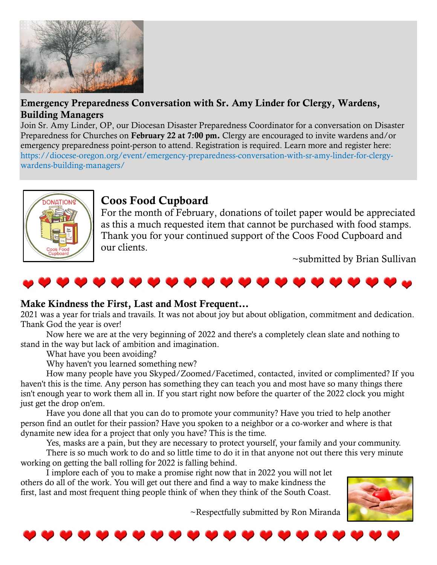

## **[Emergency Preparedness Conversation with Sr. Amy Linder for Clergy, Wardens,](https://diocese-oregon.org/event/emergency-preparedness-conversation-with-sr-amy-linder-for-clergy-wardens-building-managers/)  [Building Managers](https://diocese-oregon.org/event/emergency-preparedness-conversation-with-sr-amy-linder-for-clergy-wardens-building-managers/)**

Join Sr. Amy Linder, OP, our Diocesan Disaster Preparedness Coordinator for a conversation on Disaster Preparedness for Churches on **February 22 at 7:00 pm.** Clergy are encouraged to invite wardens and/or emergency preparedness point-person to attend. Registration is required. Learn more and register here: [https://diocese-oregon.org/event/emergency-preparedness-conversation-with-sr-amy-linder-for-clergy](https://diocese-oregon.org/event/emergency-preparedness-conversation-with-sr-amy-linder-for-clergy-wardens-building-managers/)[wardens-building-managers/](https://diocese-oregon.org/event/emergency-preparedness-conversation-with-sr-amy-linder-for-clergy-wardens-building-managers/)



# **Coos Food Cupboard**

For the month of February, donations of toilet paper would be appreciated as this a much requested item that cannot be purchased with food stamps. Thank you for your continued support of the Coos Food Cupboard and our clients.

~submitted by Brian Sullivan



#### **Make Kindness the First, Last and Most Frequent…**

2021 was a year for trials and travails. It was not about joy but about obligation, commitment and dedication. Thank God the year is over!

Now here we are at the very beginning of 2022 and there's a completely clean slate and nothing to stand in the way but lack of ambition and imagination.

What have you been avoiding?

Why haven't you learned something new?

How many people have you Skyped/Zoomed/Facetimed, contacted, invited or complimented? If you haven't this is the time. Any person has something they can teach you and most have so many things there isn't enough year to work them all in. If you start right now before the quarter of the 2022 clock you might just get the drop on'em.

Have you done all that you can do to promote your community? Have you tried to help another person find an outlet for their passion? Have you spoken to a neighbor or a co-worker and where is that dynamite new idea for a project that only you have? This is the time.

Yes, masks are a pain, but they are necessary to protect yourself, your family and your community. There is so much work to do and so little time to do it in that anyone not out there this very minute working on getting the ball rolling for 2022 is falling behind.

I implore each of you to make a promise right now that in 2022 you will not let others do all of the work. You will get out there and find a way to make kindness the first, last and most frequent thing people think of when they think of the South Coast.

~Respectfully submitted by Ron Miranda



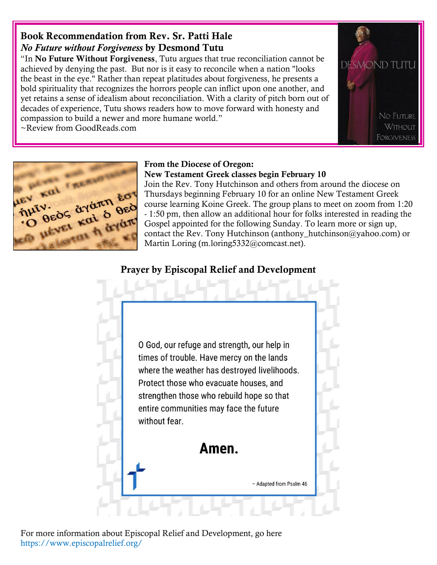# **Book Recommendation from Rev. Sr. Patti Hale** *No Future without Forgiveness* **by Desmond Tutu**

"In **No Future Without Forgiveness**, Tutu argues that true reconciliation cannot be achieved by denying the past. But nor is it easy to reconcile when a nation "looks the beast in the eye." Rather than repeat platitudes about forgiveness, he presents a bold spirituality that recognizes the horrors people can inflict upon one another, and yet retains a sense of idealism about reconciliation. With a clarity of pitch born out of decades of experience, Tutu shows readers how to move forward with honesty and compassion to build a newer and more humane world."

~Review from GoodReads.com





#### **From the Diocese of Oregon: New Testament Greek classes begin February 10**

Join the Rev. Tony Hutchinson and others from around the diocese on Thursdays beginning February 10 for an online New Testament Greek course learning Koine Greek. The group plans to meet on zoom from 1:20 - 1:50 pm, then allow an additional hour for folks interested in reading the Gospel appointed for the following Sunday. To learn more or sign up, contact the Rev. Tony Hutchinson (anthony hutchinson@yahoo.com) or Martin Loring (m.loring5332@comcast.net).

# **Prayer by Episcopal Relief and Development**



For more information about Episcopal Relief and Development, go here <https://www.episcopalrelief.org/>